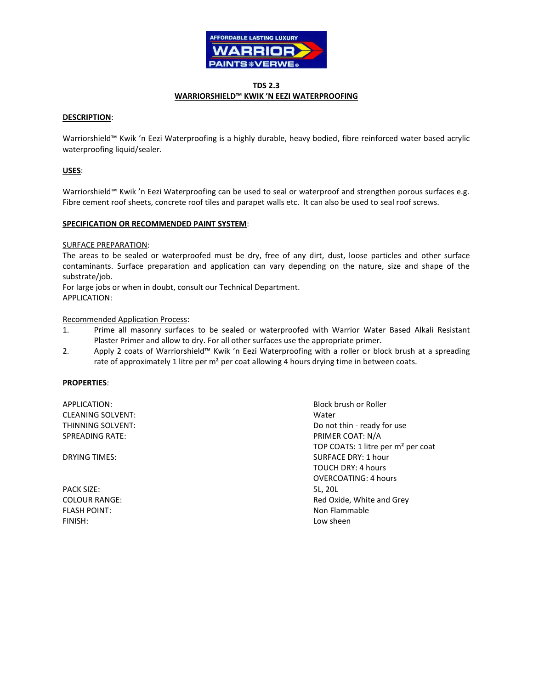

# **TDS 2.3 WARRIORSHIELD™ KWIK 'N EEZI WATERPROOFING**

# **DESCRIPTION**:

Warriorshield™ Kwik 'n Eezi Waterproofing is a highly durable, heavy bodied, fibre reinforced water based acrylic waterproofing liquid/sealer.

## **USES**:

Warriorshield™ Kwik 'n Eezi Waterproofing can be used to seal or waterproof and strengthen porous surfaces e.g. Fibre cement roof sheets, concrete roof tiles and parapet walls etc. It can also be used to seal roof screws.

#### **SPECIFICATION OR RECOMMENDED PAINT SYSTEM**:

#### SURFACE PREPARATION:

The areas to be sealed or waterproofed must be dry, free of any dirt, dust, loose particles and other surface contaminants. Surface preparation and application can vary depending on the nature, size and shape of the substrate/job.

For large jobs or when in doubt, consult our Technical Department. APPLICATION:

#### Recommended Application Process:

- 1. Prime all masonry surfaces to be sealed or waterproofed with Warrior Water Based Alkali Resistant Plaster Primer and allow to dry. For all other surfaces use the appropriate primer.
- 2. Apply 2 coats of Warriorshield™ Kwik 'n Eezi Waterproofing with a roller or block brush at a spreading rate of approximately 1 litre per m<sup>2</sup> per coat allowing 4 hours drying time in between coats.

#### **PROPERTIES**:

APPLICATION: Block brush or Roller CLEANING SOLVENT: Water SPREADING RATE: THE SPREADING RATE: THE SPREADING RATE:

| PACK SIZE:          | 5L. 20L |
|---------------------|---------|
| COLOUR RANGE:       | Red Ox  |
| <b>FLASH POINT:</b> | Non Fla |
| FINISH:             | Low sh  |

THINNING SOLVENT: Do not thin - ready for use TOP COATS: 1 litre per m² per coat **DRYING TIMES:** SURFACE DRY: 1 hour TOUCH DRY: 4 hours OVERCOATING: 4 hours Red Oxide, White and Grey Non Flammable Low sheen